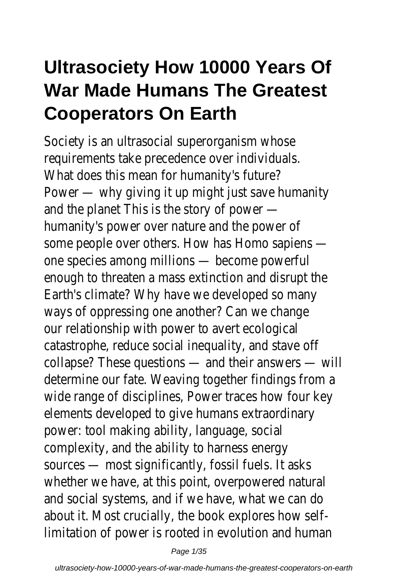## **Ultrasociety How 10000 Years Of War Made Humans The Greatest Cooperators On Earth**

Society is an ultrasocial superorganism whose requirements take precedence over individuals. What does this mean for humanity's future? Power — why giving it up might just save humanity and the planet This is the story of power humanity's power over nature and the power of some people over others. How has Homo sapiens one species among millions — become powerful enough to threaten a mass extinction and disrupt the Earth's climate? Why have we developed so many ways of oppressing one another? Can we change our relationship with power to avert ecological catastrophe, reduce social inequality, and stave off collapse? These questions — and their answers — will determine our fate. Weaving together findings from a wide range of disciplines, Power traces how four key elements developed to give humans extraordinary power: tool making ability, language, social complexity, and the ability to harness energy sources — most significantly, fossil fuels. It asks whether we have, at this point, overpowered natural and social systems, and if we have, what we can do about it. Most crucially, the book explores how selflimitation of power is rooted in evolution and human

Page 1/35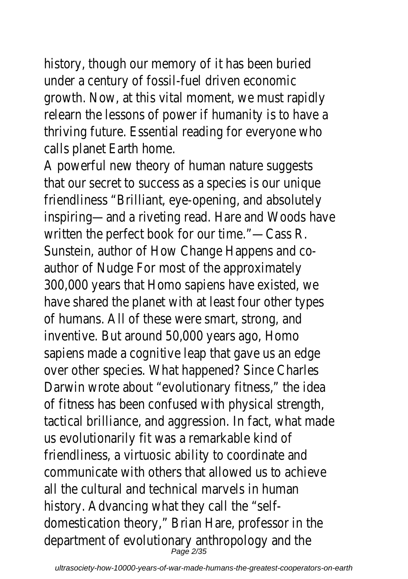history, though our memory of it has been buried under a century of fossil-fuel driven economic growth. Now, at this vital moment, we must rapidly relearn the lessons of power if humanity is to have a thriving future. Essential reading for everyone who calls planet Earth home.

A powerful new theory of human nature suggests that our secret to success as a species is our unique friendliness "Brilliant, eye-opening, and absolutely inspiring—and a riveting read. Hare and Woods have written the perfect book for our time."—Cass R. Sunstein, author of How Change Happens and coauthor of Nudge For most of the approximately 300,000 years that Homo sapiens have existed, we have shared the planet with at least four other types of humans. All of these were smart, strong, and inventive. But around 50,000 years ago, Homo sapiens made a cognitive leap that gave us an edge over other species. What happened? Since Charles Darwin wrote about "evolutionary fitness," the idea of fitness has been confused with physical strength, tactical brilliance, and aggression. In fact, what made us evolutionarily fit was a remarkable kind of friendliness, a virtuosic ability to coordinate and communicate with others that allowed us to achieve all the cultural and technical marvels in human history. Advancing what they call the "selfdomestication theory," Brian Hare, professor in the department of evolutionary anthropology and the Page 2/35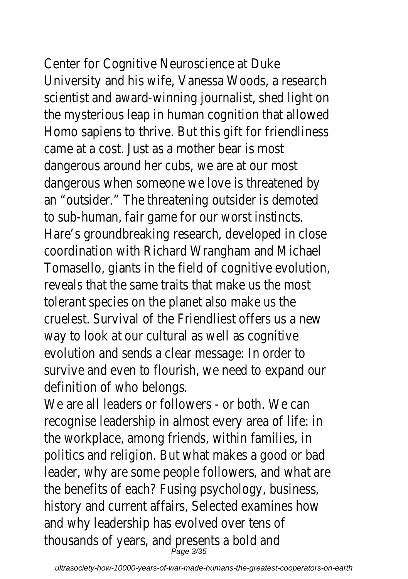Center for Cognitive Neuroscience at Duke University and his wife, Vanessa Woods, a research scientist and award-winning journalist, shed light on the mysterious leap in human cognition that allowed Homo sapiens to thrive. But this gift for friendliness came at a cost. Just as a mother bear is most dangerous around her cubs, we are at our most dangerous when someone we love is threatened by an "outsider." The threatening outsider is demoted to sub-human, fair game for our worst instincts. Hare's groundbreaking research, developed in close coordination with Richard Wrangham and Michael Tomasello, giants in the field of cognitive evolution, reveals that the same traits that make us the most tolerant species on the planet also make us the cruelest. Survival of the Friendliest offers us a new way to look at our cultural as well as cognitive evolution and sends a clear message: In order to survive and even to flourish, we need to expand our definition of who belongs.

We are all leaders or followers - or both. We can recognise leadership in almost every area of life: in the workplace, among friends, within families, in politics and religion. But what makes a good or bad leader, why are some people followers, and what are the benefits of each? Fusing psychology, business, history and current affairs, Selected examines how and why leadership has evolved over tens of thousands of years, and presents a bold and Page 3/35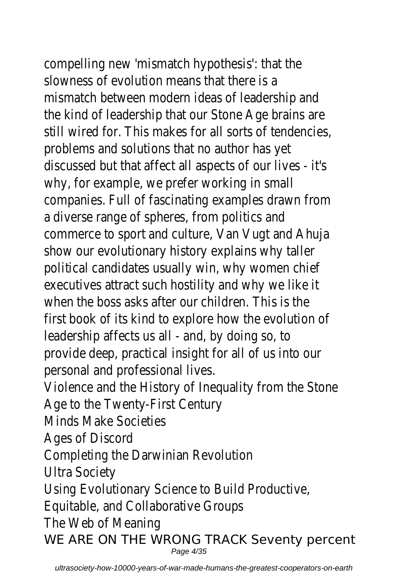# compelling new 'mismatch hypothesis': that the

slowness of evolution means that there is a mismatch between modern ideas of leadership and the kind of leadership that our Stone Age brains are still wired for. This makes for all sorts of tendencies, problems and solutions that no author has yet discussed but that affect all aspects of our lives - it's why, for example, we prefer working in small companies. Full of fascinating examples drawn from a diverse range of spheres, from politics and commerce to sport and culture, Van Vugt and Ahuja show our evolutionary history explains why taller political candidates usually win, why women chief executives attract such hostility and why we like it when the boss asks after our children. This is the first book of its kind to explore how the evolution of leadership affects us all - and, by doing so, to provide deep, practical insight for all of us into our personal and professional lives. Violence and the History of Inequality from the Stone Age to the Twenty-First Century

Minds Make Societies

Ages of Discord

Completing the Darwinian Revolution

Ultra Society

Using Evolutionary Science to Build Productive,

Equitable, and Collaborative Groups

The Web of Meaning

WE ARE ON THE WRONG TRACK Seventy percent Page 4/35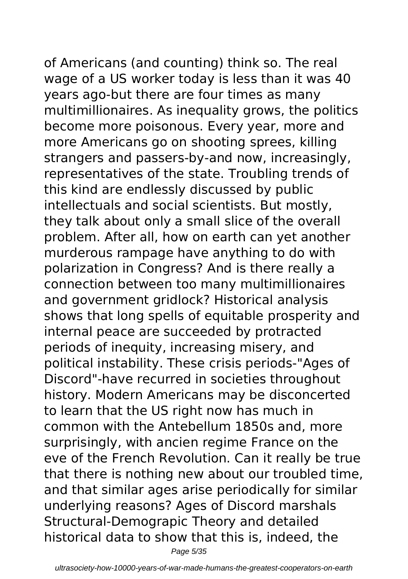of Americans (and counting) think so. The real wage of a US worker today is less than it was 40 years ago-but there are four times as many multimillionaires. As inequality grows, the politics become more poisonous. Every year, more and more Americans go on shooting sprees, killing strangers and passers-by-and now, increasingly, representatives of the state. Troubling trends of this kind are endlessly discussed by public intellectuals and social scientists. But mostly, they talk about only a small slice of the overall problem. After all, how on earth can yet another murderous rampage have anything to do with polarization in Congress? And is there really a connection between too many multimillionaires and government gridlock? Historical analysis shows that long spells of equitable prosperity and internal peace are succeeded by protracted periods of inequity, increasing misery, and political instability. These crisis periods-"Ages of Discord"-have recurred in societies throughout history. Modern Americans may be disconcerted to learn that the US right now has much in common with the Antebellum 1850s and, more surprisingly, with ancien regime France on the eve of the French Revolution. Can it really be true that there is nothing new about our troubled time, and that similar ages arise periodically for similar underlying reasons? Ages of Discord marshals Structural-Demograpic Theory and detailed historical data to show that this is, indeed, the Page 5/35

ultrasociety-how-10000-years-of-war-made-humans-the-greatest-cooperators-on-earth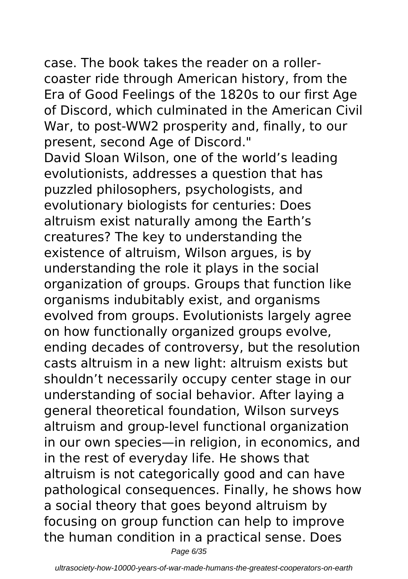case. The book takes the reader on a rollercoaster ride through American history, from the Era of Good Feelings of the 1820s to our first Age of Discord, which culminated in the American Civil War, to post-WW2 prosperity and, finally, to our present, second Age of Discord." David Sloan Wilson, one of the world's leading evolutionists, addresses a question that has puzzled philosophers, psychologists, and evolutionary biologists for centuries: Does altruism exist naturally among the Earth's creatures? The key to understanding the existence of altruism, Wilson argues, is by understanding the role it plays in the social organization of groups. Groups that function like organisms indubitably exist, and organisms evolved from groups. Evolutionists largely agree on how functionally organized groups evolve, ending decades of controversy, but the resolution casts altruism in a new light: altruism exists but shouldn't necessarily occupy center stage in our understanding of social behavior. After laying a general theoretical foundation, Wilson surveys altruism and group-level functional organization in our own species—in religion, in economics, and in the rest of everyday life. He shows that altruism is not categorically good and can have pathological consequences. Finally, he shows how a social theory that goes beyond altruism by focusing on group function can help to improve the human condition in a practical sense. Does

Page 6/35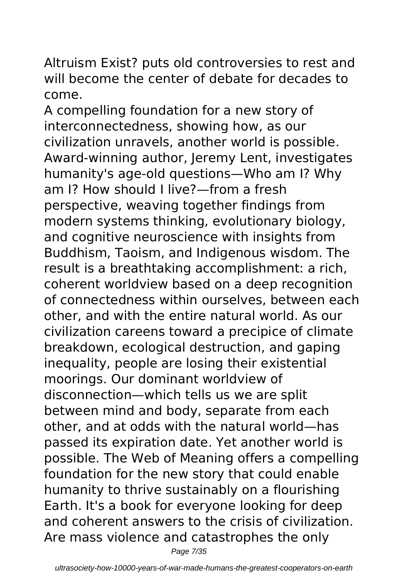Altruism Exist? puts old controversies to rest and will become the center of debate for decades to come.

A compelling foundation for a new story of interconnectedness, showing how, as our civilization unravels, another world is possible. Award-winning author, Jeremy Lent, investigates humanity's age-old questions—Who am I? Why am I? How should I live?—from a fresh perspective, weaving together findings from modern systems thinking, evolutionary biology, and cognitive neuroscience with insights from Buddhism, Taoism, and Indigenous wisdom. The result is a breathtaking accomplishment: a rich, coherent worldview based on a deep recognition of connectedness within ourselves, between each other, and with the entire natural world. As our civilization careens toward a precipice of climate breakdown, ecological destruction, and gaping inequality, people are losing their existential moorings. Our dominant worldview of disconnection—which tells us we are split between mind and body, separate from each other, and at odds with the natural world—has passed its expiration date. Yet another world is possible. The Web of Meaning offers a compelling foundation for the new story that could enable humanity to thrive sustainably on a flourishing Earth. It's a book for everyone looking for deep and coherent answers to the crisis of civilization. Are mass violence and catastrophes the only

Page 7/35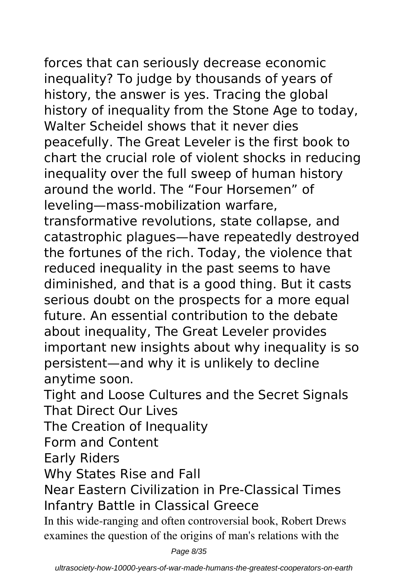forces that can seriously decrease economic inequality? To judge by thousands of years of history, the answer is yes. Tracing the global history of inequality from the Stone Age to today, Walter Scheidel shows that it never dies peacefully. The Great Leveler is the first book to chart the crucial role of violent shocks in reducing inequality over the full sweep of human history around the world. The "Four Horsemen" of leveling—mass-mobilization warfare, transformative revolutions, state collapse, and catastrophic plagues—have repeatedly destroyed the fortunes of the rich. Today, the violence that reduced inequality in the past seems to have diminished, and that is a good thing. But it casts serious doubt on the prospects for a more equal future. An essential contribution to the debate about inequality, The Great Leveler provides important new insights about why inequality is so persistent—and why it is unlikely to decline anytime soon.

Tight and Loose Cultures and the Secret Signals That Direct Our Lives

The Creation of Inequality

Form and Content

Early Riders

Why States Rise and Fall

Near Eastern Civilization in Pre-Classical Times Infantry Battle in Classical Greece

In this wide-ranging and often controversial book, Robert Drews examines the question of the origins of man's relations with the

Page 8/35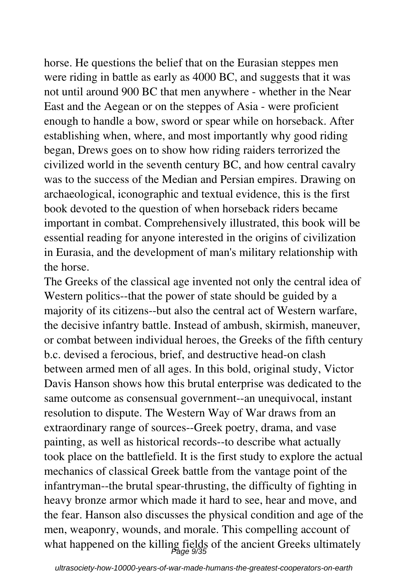horse. He questions the belief that on the Eurasian steppes men were riding in battle as early as 4000 BC, and suggests that it was not until around 900 BC that men anywhere - whether in the Near East and the Aegean or on the steppes of Asia - were proficient enough to handle a bow, sword or spear while on horseback. After establishing when, where, and most importantly why good riding began, Drews goes on to show how riding raiders terrorized the civilized world in the seventh century BC, and how central cavalry was to the success of the Median and Persian empires. Drawing on archaeological, iconographic and textual evidence, this is the first book devoted to the question of when horseback riders became important in combat. Comprehensively illustrated, this book will be essential reading for anyone interested in the origins of civilization in Eurasia, and the development of man's military relationship with the horse.

The Greeks of the classical age invented not only the central idea of Western politics--that the power of state should be guided by a majority of its citizens--but also the central act of Western warfare, the decisive infantry battle. Instead of ambush, skirmish, maneuver, or combat between individual heroes, the Greeks of the fifth century b.c. devised a ferocious, brief, and destructive head-on clash between armed men of all ages. In this bold, original study, Victor Davis Hanson shows how this brutal enterprise was dedicated to the same outcome as consensual government--an unequivocal, instant resolution to dispute. The Western Way of War draws from an extraordinary range of sources--Greek poetry, drama, and vase painting, as well as historical records--to describe what actually took place on the battlefield. It is the first study to explore the actual mechanics of classical Greek battle from the vantage point of the infantryman--the brutal spear-thrusting, the difficulty of fighting in heavy bronze armor which made it hard to see, hear and move, and the fear. Hanson also discusses the physical condition and age of the men, weaponry, wounds, and morale. This compelling account of what happened on the killing fields of the ancient Greeks ultimately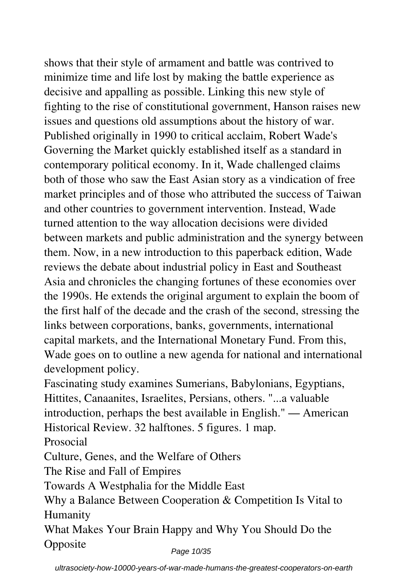shows that their style of armament and battle was contrived to minimize time and life lost by making the battle experience as decisive and appalling as possible. Linking this new style of fighting to the rise of constitutional government, Hanson raises new issues and questions old assumptions about the history of war. Published originally in 1990 to critical acclaim, Robert Wade's Governing the Market quickly established itself as a standard in contemporary political economy. In it, Wade challenged claims both of those who saw the East Asian story as a vindication of free market principles and of those who attributed the success of Taiwan and other countries to government intervention. Instead, Wade turned attention to the way allocation decisions were divided between markets and public administration and the synergy between them. Now, in a new introduction to this paperback edition, Wade reviews the debate about industrial policy in East and Southeast Asia and chronicles the changing fortunes of these economies over the 1990s. He extends the original argument to explain the boom of the first half of the decade and the crash of the second, stressing the links between corporations, banks, governments, international capital markets, and the International Monetary Fund. From this, Wade goes on to outline a new agenda for national and international development policy.

Fascinating study examines Sumerians, Babylonians, Egyptians, Hittites, Canaanites, Israelites, Persians, others. "...a valuable introduction, perhaps the best available in English." — American Historical Review. 32 halftones. 5 figures. 1 map.

Prosocial

Culture, Genes, and the Welfare of Others

The Rise and Fall of Empires

Towards A Westphalia for the Middle East

Why a Balance Between Cooperation & Competition Is Vital to Humanity

What Makes Your Brain Happy and Why You Should Do the **Opposite** Page 10/35

ultrasociety-how-10000-years-of-war-made-humans-the-greatest-cooperators-on-earth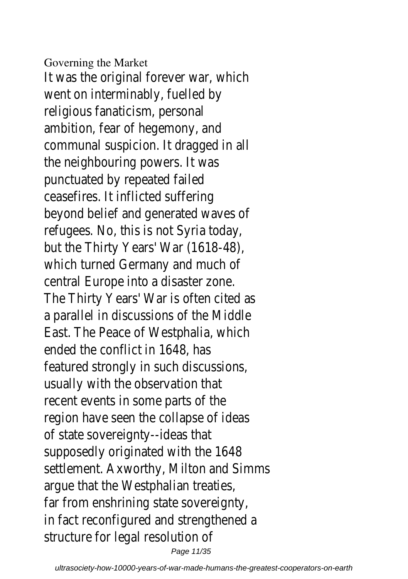#### Governing the Market

It was the original forever war, which went on interminably, fuelled by religious fanaticism, personal ambition, fear of hegemony, and communal suspicion. It dragged in all the neighbouring powers. It was punctuated by repeated failed ceasefires. It inflicted suffering beyond belief and generated waves of refugees. No, this is not Syria today, but the Thirty Years' War (1618-48), which turned Germany and much of central Europe into a disaster zone. The Thirty Years' War is often cited as a parallel in discussions of the Middle East. The Peace of Westphalia, which ended the conflict in 1648, has featured strongly in such discussions, usually with the observation that recent events in some parts of the region have seen the collapse of ideas of state sovereignty--ideas that supposedly originated with the 1648 settlement. Axworthy, Milton and Simms argue that the Westphalian treaties, far from enshrining state sovereignty, in fact reconfigured and strengthened a structure for legal resolution of Page 11/35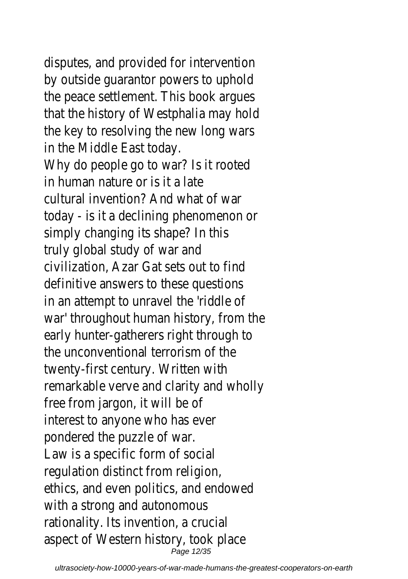disputes, and provided for intervention

by outside guarantor powers to uphold the peace settlement. This book argues that the history of Westphalia may hold the key to resolving the new long wars in the Middle East today. Why do people go to war? Is it rooted in human nature or is it a late cultural invention? And what of war today - is it a declining phenomenon or simply changing its shape? In this truly global study of war and civilization, Azar Gat sets out to find definitive answers to these questions in an attempt to unravel the 'riddle of war' throughout human history, from the early hunter-gatherers right through to the unconventional terrorism of the twenty-first century. Written with remarkable verve and clarity and wholly free from jargon, it will be of interest to anyone who has ever pondered the puzzle of war. Law is a specific form of social regulation distinct from religion, ethics, and even politics, and endowed with a strong and autonomous rationality. Its invention, a crucial aspect of Western history, took place Page 12/35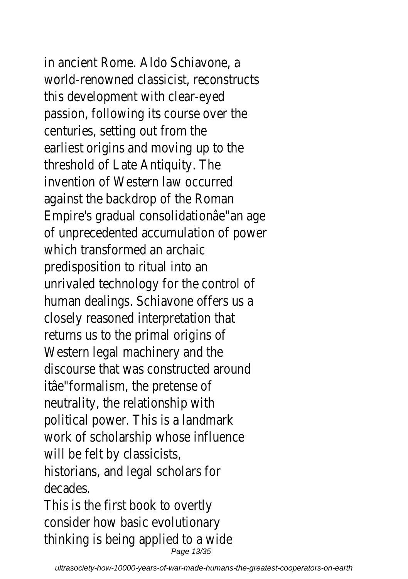in ancient Rome. Aldo Schiavone, a world-renowned classicist, reconstructs this development with clear-eyed passion, following its course over the centuries, setting out from the earliest origins and moving up to the threshold of Late Antiquity. The invention of Western law occurred against the backdrop of the Roman Empire's gradual consolidationâe"an age of unprecedented accumulation of power which transformed an archaic predisposition to ritual into an unrivaled technology for the control of human dealings. Schiavone offers us a closely reasoned interpretation that returns us to the primal origins of Western legal machinery and the discourse that was constructed around itâe"formalism, the pretense of neutrality, the relationship with political power. This is a landmark work of scholarship whose influence will be felt by classicists, historians, and legal scholars for decades. This is the first book to overtly consider how basic evolutionary

thinking is being applied to a wide Page 13/35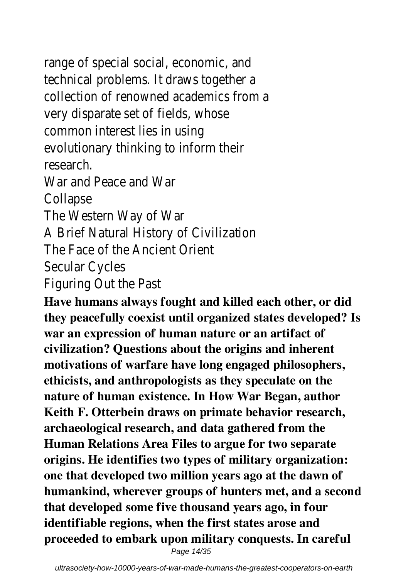range of special social, economic, and technical problems. It draws together a collection of renowned academics from a very disparate set of fields, whose common interest lies in using evolutionary thinking to inform their research.

War and Peace and War Collapse

The Western Way of War

A Brief Natural History of Civilization

The Face of the Ancient Orient

Secular Cycles

Figuring Out the Past

**Have humans always fought and killed each other, or did they peacefully coexist until organized states developed? Is war an expression of human nature or an artifact of civilization? Questions about the origins and inherent motivations of warfare have long engaged philosophers, ethicists, and anthropologists as they speculate on the nature of human existence. In How War Began, author Keith F. Otterbein draws on primate behavior research, archaeological research, and data gathered from the Human Relations Area Files to argue for two separate origins. He identifies two types of military organization: one that developed two million years ago at the dawn of humankind, wherever groups of hunters met, and a second that developed some five thousand years ago, in four identifiable regions, when the first states arose and proceeded to embark upon military conquests. In careful**

Page 14/35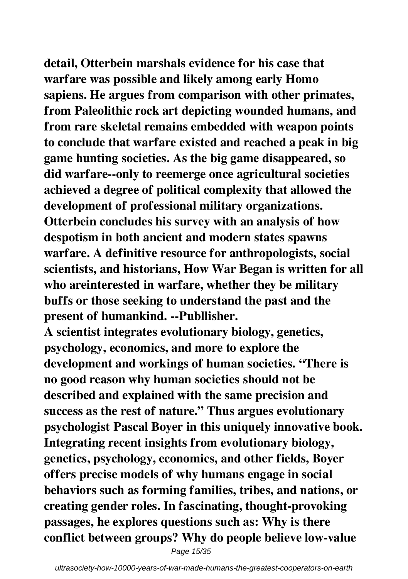**detail, Otterbein marshals evidence for his case that warfare was possible and likely among early Homo sapiens. He argues from comparison with other primates, from Paleolithic rock art depicting wounded humans, and from rare skeletal remains embedded with weapon points to conclude that warfare existed and reached a peak in big game hunting societies. As the big game disappeared, so did warfare--only to reemerge once agricultural societies achieved a degree of political complexity that allowed the development of professional military organizations. Otterbein concludes his survey with an analysis of how despotism in both ancient and modern states spawns warfare. A definitive resource for anthropologists, social scientists, and historians, How War Began is written for all who areinterested in warfare, whether they be military buffs or those seeking to understand the past and the present of humankind. --Publlisher.**

**A scientist integrates evolutionary biology, genetics, psychology, economics, and more to explore the development and workings of human societies. "There is no good reason why human societies should not be described and explained with the same precision and success as the rest of nature." Thus argues evolutionary psychologist Pascal Boyer in this uniquely innovative book. Integrating recent insights from evolutionary biology, genetics, psychology, economics, and other fields, Boyer offers precise models of why humans engage in social behaviors such as forming families, tribes, and nations, or creating gender roles. In fascinating, thought-provoking passages, he explores questions such as: Why is there conflict between groups? Why do people believe low-value**

Page 15/35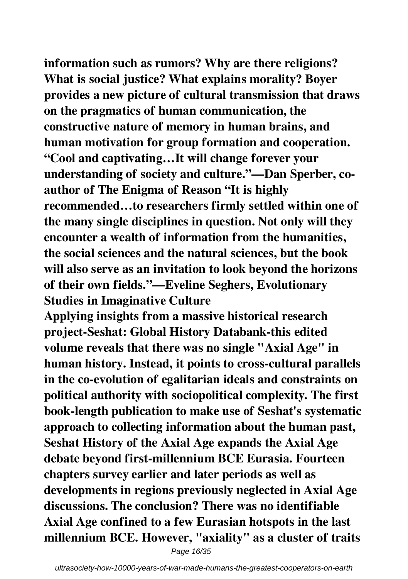**information such as rumors? Why are there religions? What is social justice? What explains morality? Boyer provides a new picture of cultural transmission that draws on the pragmatics of human communication, the constructive nature of memory in human brains, and human motivation for group formation and cooperation. "Cool and captivating…It will change forever your understanding of society and culture."—Dan Sperber, coauthor of The Enigma of Reason "It is highly recommended…to researchers firmly settled within one of the many single disciplines in question. Not only will they encounter a wealth of information from the humanities, the social sciences and the natural sciences, but the book will also serve as an invitation to look beyond the horizons of their own fields."—Eveline Seghers, Evolutionary Studies in Imaginative Culture**

**Applying insights from a massive historical research project-Seshat: Global History Databank-this edited volume reveals that there was no single "Axial Age" in human history. Instead, it points to cross-cultural parallels in the co-evolution of egalitarian ideals and constraints on political authority with sociopolitical complexity. The first book-length publication to make use of Seshat's systematic approach to collecting information about the human past, Seshat History of the Axial Age expands the Axial Age debate beyond first-millennium BCE Eurasia. Fourteen chapters survey earlier and later periods as well as developments in regions previously neglected in Axial Age discussions. The conclusion? There was no identifiable Axial Age confined to a few Eurasian hotspots in the last millennium BCE. However, "axiality" as a cluster of traits**

Page 16/35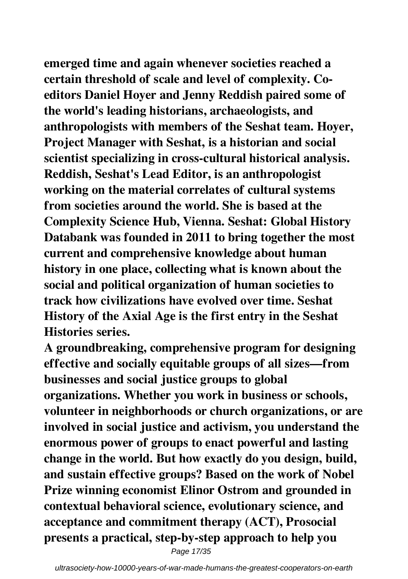**emerged time and again whenever societies reached a certain threshold of scale and level of complexity. Coeditors Daniel Hoyer and Jenny Reddish paired some of the world's leading historians, archaeologists, and anthropologists with members of the Seshat team. Hoyer, Project Manager with Seshat, is a historian and social scientist specializing in cross-cultural historical analysis. Reddish, Seshat's Lead Editor, is an anthropologist working on the material correlates of cultural systems from societies around the world. She is based at the Complexity Science Hub, Vienna. Seshat: Global History Databank was founded in 2011 to bring together the most current and comprehensive knowledge about human history in one place, collecting what is known about the social and political organization of human societies to track how civilizations have evolved over time. Seshat History of the Axial Age is the first entry in the Seshat Histories series.**

**A groundbreaking, comprehensive program for designing effective and socially equitable groups of all sizes—from businesses and social justice groups to global organizations. Whether you work in business or schools, volunteer in neighborhoods or church organizations, or are involved in social justice and activism, you understand the enormous power of groups to enact powerful and lasting change in the world. But how exactly do you design, build, and sustain effective groups? Based on the work of Nobel Prize winning economist Elinor Ostrom and grounded in contextual behavioral science, evolutionary science, and acceptance and commitment therapy (ACT), Prosocial presents a practical, step-by-step approach to help you**

Page 17/35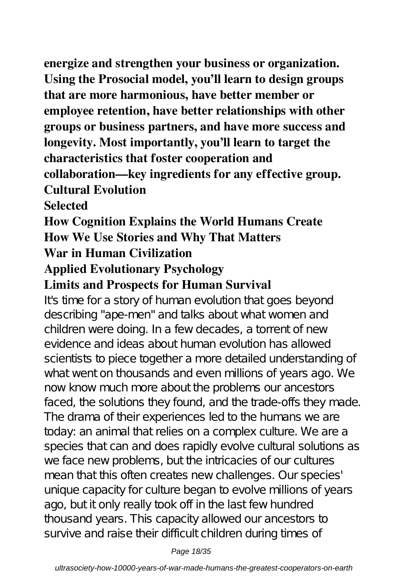**energize and strengthen your business or organization. Using the Prosocial model, you'll learn to design groups that are more harmonious, have better member or employee retention, have better relationships with other groups or business partners, and have more success and longevity. Most importantly, you'll learn to target the characteristics that foster cooperation and collaboration—key ingredients for any effective group. Cultural Evolution**

## **Selected**

**How Cognition Explains the World Humans Create How We Use Stories and Why That Matters War in Human Civilization**

## **Applied Evolutionary Psychology**

## **Limits and Prospects for Human Survival**

It's time for a story of human evolution that goes beyond describing "ape-men" and talks about what women and children were doing. In a few decades, a torrent of new evidence and ideas about human evolution has allowed scientists to piece together a more detailed understanding of what went on thousands and even millions of years ago. We now know much more about the problems our ancestors faced, the solutions they found, and the trade-offs they made. The drama of their experiences led to the humans we are today: an animal that relies on a complex culture. We are a species that can and does rapidly evolve cultural solutions as we face new problems, but the intricacies of our cultures mean that this often creates new challenges. Our species' unique capacity for culture began to evolve millions of years ago, but it only really took off in the last few hundred thousand years. This capacity allowed our ancestors to survive and raise their difficult children during times of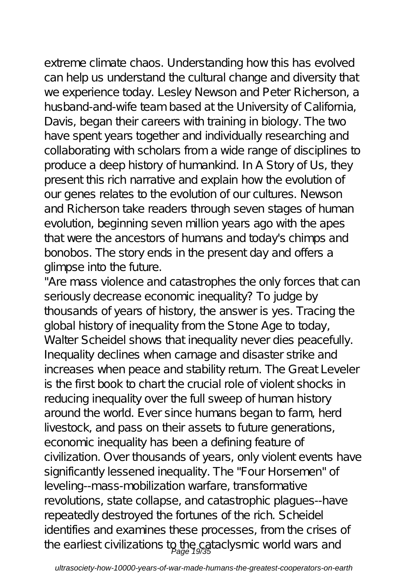extreme climate chaos. Understanding how this has evolved can help us understand the cultural change and diversity that we experience today. Lesley Newson and Peter Richerson, a husband-and-wife team based at the University of California, Davis, began their careers with training in biology. The two have spent years together and individually researching and collaborating with scholars from a wide range of disciplines to produce a deep history of humankind. In A Story of Us, they present this rich narrative and explain how the evolution of our genes relates to the evolution of our cultures. Newson and Richerson take readers through seven stages of human evolution, beginning seven million years ago with the apes that were the ancestors of humans and today's chimps and bonobos. The story ends in the present day and offers a glimpse into the future.

"Are mass violence and catastrophes the only forces that can seriously decrease economic inequality? To judge by thousands of years of history, the answer is yes. Tracing the global history of inequality from the Stone Age to today, Walter Scheidel shows that inequality never dies peacefully. Inequality declines when carnage and disaster strike and increases when peace and stability return. The Great Leveler is the first book to chart the crucial role of violent shocks in reducing inequality over the full sweep of human history around the world. Ever since humans began to farm, herd livestock, and pass on their assets to future generations, economic inequality has been a defining feature of civilization. Over thousands of years, only violent events have significantly lessened inequality. The "Four Horsemen" of leveling--mass-mobilization warfare, transformative revolutions, state collapse, and catastrophic plagues--have repeatedly destroyed the fortunes of the rich. Scheidel identifies and examines these processes, from the crises of the earliest civilizations to the cataclysmic world wars and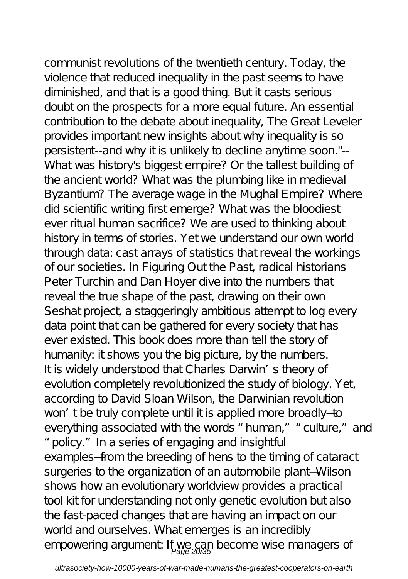communist revolutions of the twentieth century. Today, the violence that reduced inequality in the past seems to have diminished, and that is a good thing. But it casts serious doubt on the prospects for a more equal future. An essential contribution to the debate about inequality, The Great Leveler provides important new insights about why inequality is so persistent--and why it is unlikely to decline anytime soon."-- What was history's biggest empire? Or the tallest building of the ancient world? What was the plumbing like in medieval Byzantium? The average wage in the Mughal Empire? Where did scientific writing first emerge? What was the bloodiest ever ritual human sacrifice? We are used to thinking about history in terms of stories. Yet we understand our own world through data: cast arrays of statistics that reveal the workings of our societies. In Figuring Out the Past, radical historians Peter Turchin and Dan Hoyer dive into the numbers that reveal the true shape of the past, drawing on their own Seshat project, a staggeringly ambitious attempt to log every data point that can be gathered for every society that has ever existed. This book does more than tell the story of humanity: it shows you the big picture, by the numbers. It is widely understood that Charles Darwin's theory of evolution completely revolutionized the study of biology. Yet, according to David Sloan Wilson, the Darwinian revolution won't be truly complete until it is applied more broadly—to everything associated with the words "human," "culture," and "policy." In a series of engaging and insightful examples—from the breeding of hens to the timing of cataract surgeries to the organization of an automobile plant—Wilson shows how an evolutionary worldview provides a practical tool kit for understanding not only genetic evolution but also the fast-paced changes that are having an impact on our world and ourselves. What emerges is an incredibly empowering argument If we can become wise managers of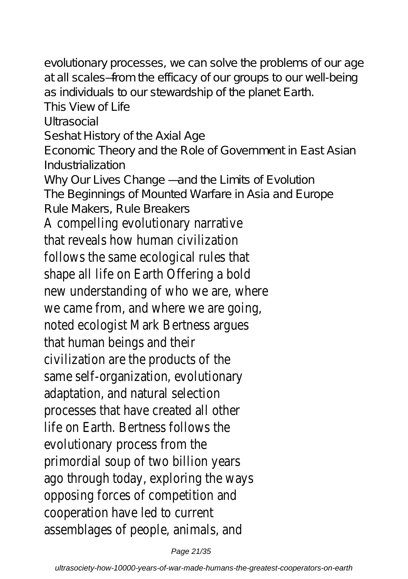evolutionary processes, we can solve the problems of our age at all scales—from the efficacy of our groups to our well-being as individuals to our stewardship of the planet Earth. This View of Life Ultrasocial Seshat History of the Axial Age Economic Theory and the Role of Government in East Asian Industrialization Why Our Lives Change — and the Limits of Evolution The Beginnings of Mounted Warfare in Asia and Europe Rule Makers, Rule Breakers A compelling evolutionary narrative that reveals how human civilization follows the same ecological rules that shape all life on Earth Offering a bold new understanding of who we are, where we came from, and where we are going, noted ecologist Mark Bertness argues that human beings and their civilization are the products of the same self-organization, evolutionary adaptation, and natural selection processes that have created all other life on Earth. Bertness follows the evolutionary process from the primordial soup of two billion years ago through today, exploring the ways opposing forces of competition and cooperation have led to current assemblages of people, animals, and

Page 21/35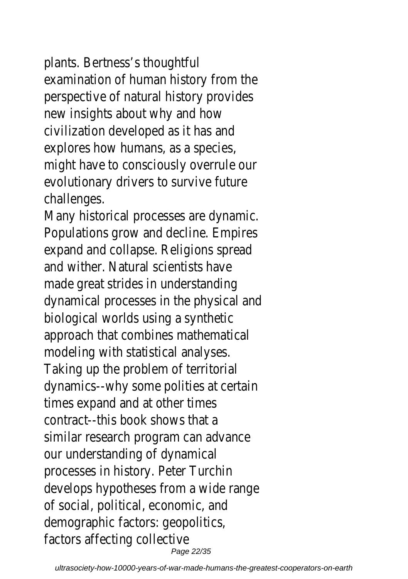plants. Bertness's thoughtful examination of human history from the perspective of natural history provides new insights about why and how civilization developed as it has and explores how humans, as a species, might have to consciously overrule our evolutionary drivers to survive future challenges.

Many historical processes are dynamic. Populations grow and decline. Empires expand and collapse. Religions spread and wither. Natural scientists have made great strides in understanding dynamical processes in the physical and biological worlds using a synthetic approach that combines mathematical modeling with statistical analyses. Taking up the problem of territorial dynamics--why some polities at certain times expand and at other times contract--this book shows that a similar research program can advance our understanding of dynamical processes in history. Peter Turchin develops hypotheses from a wide range of social, political, economic, and demographic factors: geopolitics, factors affecting collective Page 22/35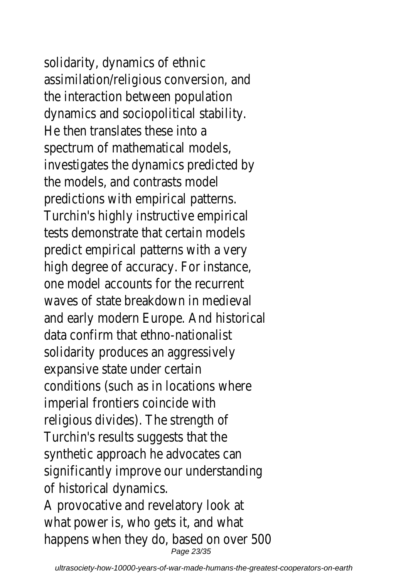solidarity, dynamics of ethnic assimilation/religious conversion, and the interaction between population dynamics and sociopolitical stability. He then translates these into a spectrum of mathematical models, investigates the dynamics predicted by the models, and contrasts model predictions with empirical patterns. Turchin's highly instructive empirical tests demonstrate that certain models predict empirical patterns with a very high degree of accuracy. For instance, one model accounts for the recurrent waves of state breakdown in medieval and early modern Europe. And historical data confirm that ethno-nationalist solidarity produces an aggressively expansive state under certain conditions (such as in locations where imperial frontiers coincide with religious divides). The strength of Turchin's results suggests that the synthetic approach he advocates can significantly improve our understanding of historical dynamics. A provocative and revelatory look at what power is, who gets it, and what happens when they do, based on over 500 Page 23/35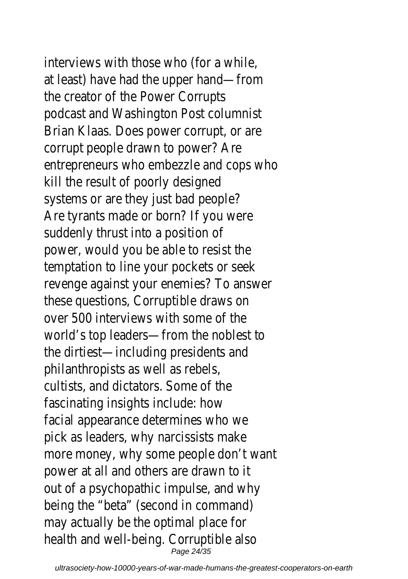interviews with those who (for a while, at least) have had the upper hand—from the creator of the Power Corrupts podcast and Washington Post columnist Brian Klaas. Does power corrupt, or are corrupt people drawn to power? Are entrepreneurs who embezzle and cops who kill the result of poorly designed systems or are they just bad people? Are tyrants made or born? If you were suddenly thrust into a position of power, would you be able to resist the temptation to line your pockets or seek revenge against your enemies? To answer these questions, Corruptible draws on over 500 interviews with some of the world's top leaders—from the noblest to the dirtiest—including presidents and philanthropists as well as rebels, cultists, and dictators. Some of the fascinating insights include: how facial appearance determines who we pick as leaders, why narcissists make more money, why some people don't want power at all and others are drawn to it out of a psychopathic impulse, and why being the "beta" (second in command) may actually be the optimal place for health and well-being. Corruptible also Page 24/35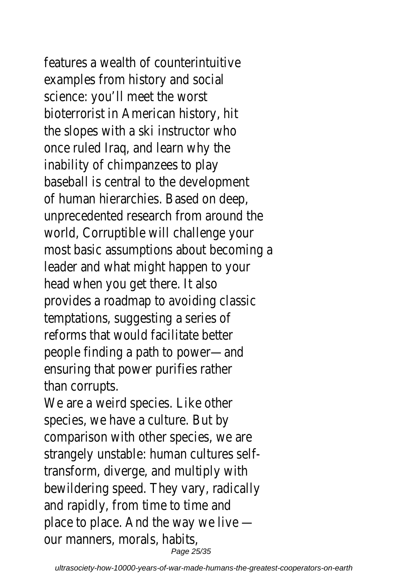features a wealth of counterintuitive examples from history and social science: you'll meet the worst bioterrorist in American history, hit the slopes with a ski instructor who once ruled Iraq, and learn why the inability of chimpanzees to play baseball is central to the development of human hierarchies. Based on deep, unprecedented research from around the world, Corruptible will challenge your most basic assumptions about becoming a leader and what might happen to your head when you get there. It also provides a roadmap to avoiding classic temptations, suggesting a series of reforms that would facilitate better people finding a path to power—and ensuring that power purifies rather than corrupts.

We are a weird species. Like other species, we have a culture. But by comparison with other species, we are strangely unstable: human cultures selftransform, diverge, and multiply with bewildering speed. They vary, radically and rapidly, from time to time and place to place. And the way we live our manners, morals, habits, Page 25/35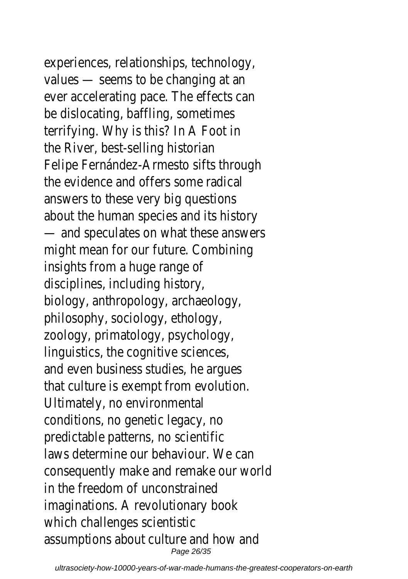experiences, relationships, technology, values — seems to be changing at an ever accelerating pace. The effects can be dislocating, baffling, sometimes terrifying. Why is this? In A Foot in the River, best-selling historian Felipe Fernández-Armesto sifts through the evidence and offers some radical answers to these very big questions about the human species and its history — and speculates on what these answers might mean for our future. Combining insights from a huge range of disciplines, including history, biology, anthropology, archaeology, philosophy, sociology, ethology, zoology, primatology, psychology, linguistics, the cognitive sciences, and even business studies, he argues that culture is exempt from evolution. Ultimately, no environmental conditions, no genetic legacy, no predictable patterns, no scientific laws determine our behaviour. We can consequently make and remake our world in the freedom of unconstrained imaginations. A revolutionary book which challenges scientistic assumptions about culture and how and Page 26/35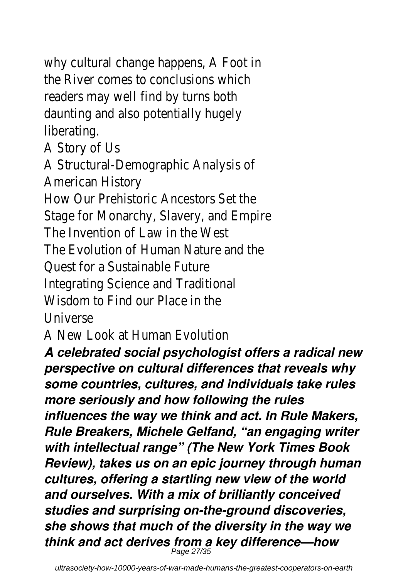why cultural change happens, A Foot in the River comes to conclusions which readers may well find by turns both daunting and also potentially hugely liberating.

A Story of Us

A Structural-Demographic Analysis of American History

How Our Prehistoric Ancestors Set the Stage for Monarchy, Slavery, and Empire The Invention of Law in the West

The Evolution of Human Nature and the

Quest for a Sustainable Future

Integrating Science and Traditional

Wisdom to Find our Place in the

Universe

A New Look at Human Evolution

*A celebrated social psychologist offers a radical new perspective on cultural differences that reveals why some countries, cultures, and individuals take rules more seriously and how following the rules influences the way we think and act. In Rule Makers, Rule Breakers, Michele Gelfand, "an engaging writer with intellectual range" (The New York Times Book Review), takes us on an epic journey through human cultures, offering a startling new view of the world and ourselves. With a mix of brilliantly conceived studies and surprising on-the-ground discoveries, she shows that much of the diversity in the way we think and act derives from a key difference—how* Page 27/35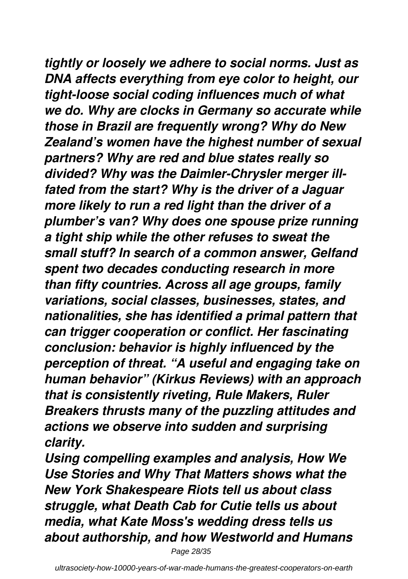*tightly or loosely we adhere to social norms. Just as DNA affects everything from eye color to height, our tight-loose social coding influences much of what we do. Why are clocks in Germany so accurate while those in Brazil are frequently wrong? Why do New Zealand's women have the highest number of sexual partners? Why are red and blue states really so divided? Why was the Daimler-Chrysler merger illfated from the start? Why is the driver of a Jaguar more likely to run a red light than the driver of a plumber's van? Why does one spouse prize running a tight ship while the other refuses to sweat the small stuff? In search of a common answer, Gelfand spent two decades conducting research in more than fifty countries. Across all age groups, family variations, social classes, businesses, states, and nationalities, she has identified a primal pattern that can trigger cooperation or conflict. Her fascinating conclusion: behavior is highly influenced by the perception of threat. "A useful and engaging take on human behavior" (Kirkus Reviews) with an approach that is consistently riveting, Rule Makers, Ruler Breakers thrusts many of the puzzling attitudes and actions we observe into sudden and surprising clarity.*

*Using compelling examples and analysis, How We Use Stories and Why That Matters shows what the New York Shakespeare Riots tell us about class struggle, what Death Cab for Cutie tells us about media, what Kate Moss's wedding dress tells us about authorship, and how Westworld and Humans*

Page 28/35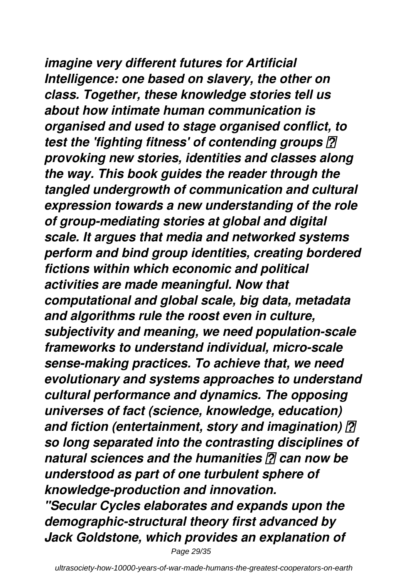*imagine very different futures for Artificial Intelligence: one based on slavery, the other on class. Together, these knowledge stories tell us about how intimate human communication is organised and used to stage organised conflict, to test the 'fighting fitness' of contending groups provoking new stories, identities and classes along the way. This book guides the reader through the tangled undergrowth of communication and cultural expression towards a new understanding of the role of group-mediating stories at global and digital scale. It argues that media and networked systems perform and bind group identities, creating bordered fictions within which economic and political activities are made meaningful. Now that computational and global scale, big data, metadata and algorithms rule the roost even in culture, subjectivity and meaning, we need population-scale frameworks to understand individual, micro-scale sense-making practices. To achieve that, we need evolutionary and systems approaches to understand cultural performance and dynamics. The opposing universes of fact (science, knowledge, education) and fiction (entertainment, story and imagination) so long separated into the contrasting disciplines of natural sciences and the humanities 2 can now be understood as part of one turbulent sphere of knowledge-production and innovation. "Secular Cycles elaborates and expands upon the demographic-structural theory first advanced by Jack Goldstone, which provides an explanation of*

Page 29/35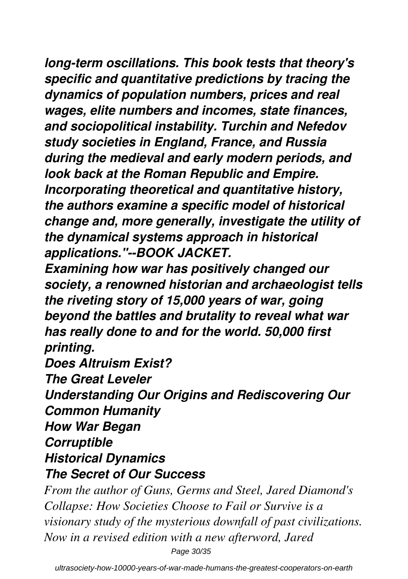*long-term oscillations. This book tests that theory's specific and quantitative predictions by tracing the dynamics of population numbers, prices and real wages, elite numbers and incomes, state finances, and sociopolitical instability. Turchin and Nefedov study societies in England, France, and Russia during the medieval and early modern periods, and look back at the Roman Republic and Empire. Incorporating theoretical and quantitative history, the authors examine a specific model of historical change and, more generally, investigate the utility of the dynamical systems approach in historical applications."--BOOK JACKET.*

*Examining how war has positively changed our society, a renowned historian and archaeologist tells the riveting story of 15,000 years of war, going beyond the battles and brutality to reveal what war has really done to and for the world. 50,000 first printing.*

*Does Altruism Exist?*

*The Great Leveler*

*Understanding Our Origins and Rediscovering Our Common Humanity*

*How War Began*

*Corruptible*

*Historical Dynamics*

### *The Secret of Our Success*

*From the author of Guns, Germs and Steel, Jared Diamond's Collapse: How Societies Choose to Fail or Survive is a visionary study of the mysterious downfall of past civilizations. Now in a revised edition with a new afterword, Jared* Page 30/35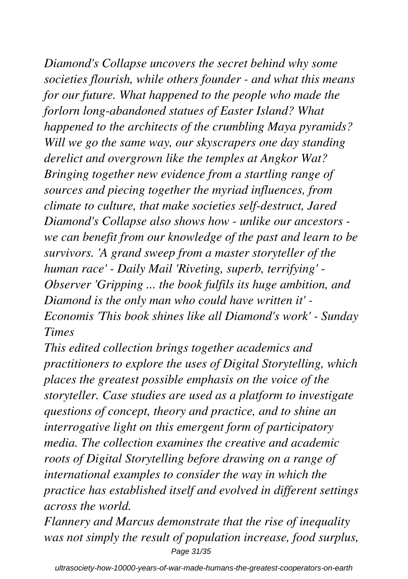*Diamond's Collapse uncovers the secret behind why some societies flourish, while others founder - and what this means for our future. What happened to the people who made the forlorn long-abandoned statues of Easter Island? What happened to the architects of the crumbling Maya pyramids? Will we go the same way, our skyscrapers one day standing derelict and overgrown like the temples at Angkor Wat? Bringing together new evidence from a startling range of sources and piecing together the myriad influences, from climate to culture, that make societies self-destruct, Jared Diamond's Collapse also shows how - unlike our ancestors we can benefit from our knowledge of the past and learn to be survivors. 'A grand sweep from a master storyteller of the human race' - Daily Mail 'Riveting, superb, terrifying' - Observer 'Gripping ... the book fulfils its huge ambition, and Diamond is the only man who could have written it' - Economis 'This book shines like all Diamond's work' - Sunday Times*

*This edited collection brings together academics and practitioners to explore the uses of Digital Storytelling, which places the greatest possible emphasis on the voice of the storyteller. Case studies are used as a platform to investigate questions of concept, theory and practice, and to shine an interrogative light on this emergent form of participatory media. The collection examines the creative and academic roots of Digital Storytelling before drawing on a range of international examples to consider the way in which the practice has established itself and evolved in different settings across the world.*

*Flannery and Marcus demonstrate that the rise of inequality was not simply the result of population increase, food surplus,* Page 31/35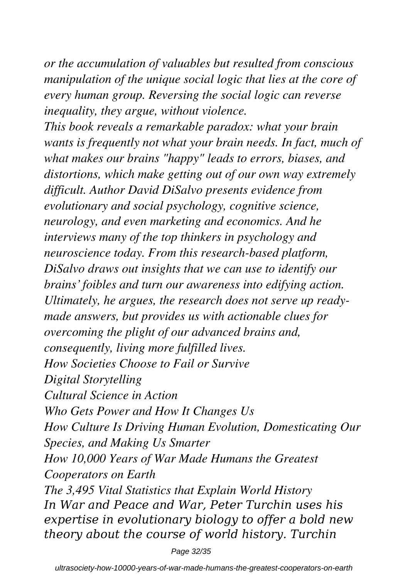*or the accumulation of valuables but resulted from conscious manipulation of the unique social logic that lies at the core of every human group. Reversing the social logic can reverse inequality, they argue, without violence.*

*This book reveals a remarkable paradox: what your brain wants is frequently not what your brain needs. In fact, much of what makes our brains "happy" leads to errors, biases, and distortions, which make getting out of our own way extremely difficult. Author David DiSalvo presents evidence from evolutionary and social psychology, cognitive science, neurology, and even marketing and economics. And he interviews many of the top thinkers in psychology and neuroscience today. From this research-based platform, DiSalvo draws out insights that we can use to identify our brains' foibles and turn our awareness into edifying action. Ultimately, he argues, the research does not serve up readymade answers, but provides us with actionable clues for overcoming the plight of our advanced brains and, consequently, living more fulfilled lives. How Societies Choose to Fail or Survive Digital Storytelling Cultural Science in Action Who Gets Power and How It Changes Us How Culture Is Driving Human Evolution, Domesticating Our Species, and Making Us Smarter How 10,000 Years of War Made Humans the Greatest Cooperators on Earth The 3,495 Vital Statistics that Explain World History In War and Peace and War, Peter Turchin uses his expertise in evolutionary biology to offer a bold new theory about the course of world history. Turchin*

Page 32/35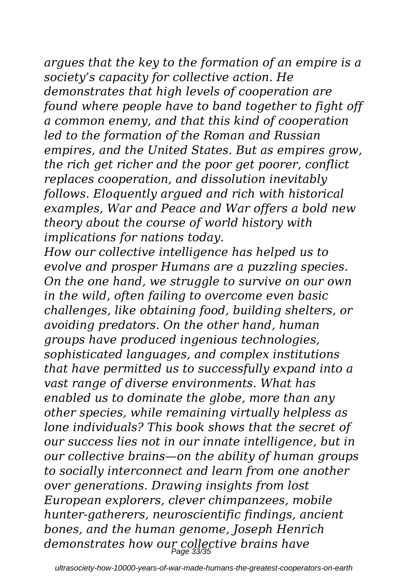*argues that the key to the formation of an empire is a society's capacity for collective action. He demonstrates that high levels of cooperation are found where people have to band together to fight off a common enemy, and that this kind of cooperation led to the formation of the Roman and Russian empires, and the United States. But as empires grow, the rich get richer and the poor get poorer, conflict replaces cooperation, and dissolution inevitably follows. Eloquently argued and rich with historical examples, War and Peace and War offers a bold new theory about the course of world history with implications for nations today.*

*How our collective intelligence has helped us to evolve and prosper Humans are a puzzling species. On the one hand, we struggle to survive on our own in the wild, often failing to overcome even basic challenges, like obtaining food, building shelters, or avoiding predators. On the other hand, human groups have produced ingenious technologies, sophisticated languages, and complex institutions that have permitted us to successfully expand into a vast range of diverse environments. What has enabled us to dominate the globe, more than any other species, while remaining virtually helpless as lone individuals? This book shows that the secret of our success lies not in our innate intelligence, but in our collective brains—on the ability of human groups to socially interconnect and learn from one another over generations. Drawing insights from lost European explorers, clever chimpanzees, mobile hunter-gatherers, neuroscientific findings, ancient bones, and the human genome, Joseph Henrich demonstrates how our collective brains have* Page 33/35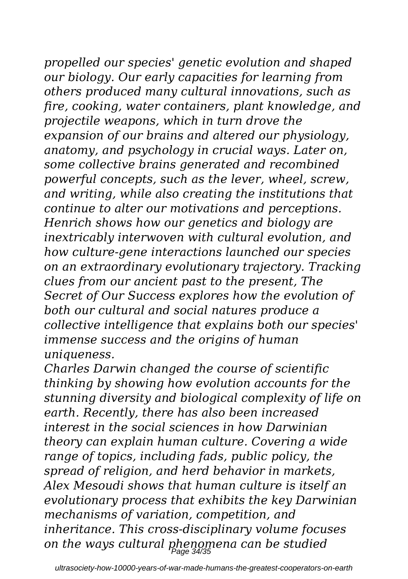*propelled our species' genetic evolution and shaped our biology. Our early capacities for learning from others produced many cultural innovations, such as fire, cooking, water containers, plant knowledge, and projectile weapons, which in turn drove the expansion of our brains and altered our physiology, anatomy, and psychology in crucial ways. Later on, some collective brains generated and recombined powerful concepts, such as the lever, wheel, screw, and writing, while also creating the institutions that continue to alter our motivations and perceptions. Henrich shows how our genetics and biology are inextricably interwoven with cultural evolution, and how culture-gene interactions launched our species on an extraordinary evolutionary trajectory. Tracking clues from our ancient past to the present, The Secret of Our Success explores how the evolution of both our cultural and social natures produce a collective intelligence that explains both our species' immense success and the origins of human uniqueness.*

*Charles Darwin changed the course of scientific thinking by showing how evolution accounts for the stunning diversity and biological complexity of life on earth. Recently, there has also been increased interest in the social sciences in how Darwinian theory can explain human culture. Covering a wide range of topics, including fads, public policy, the spread of religion, and herd behavior in markets, Alex Mesoudi shows that human culture is itself an evolutionary process that exhibits the key Darwinian mechanisms of variation, competition, and inheritance. This cross-disciplinary volume focuses on the ways cultural phenomena can be studied* Page 34/35